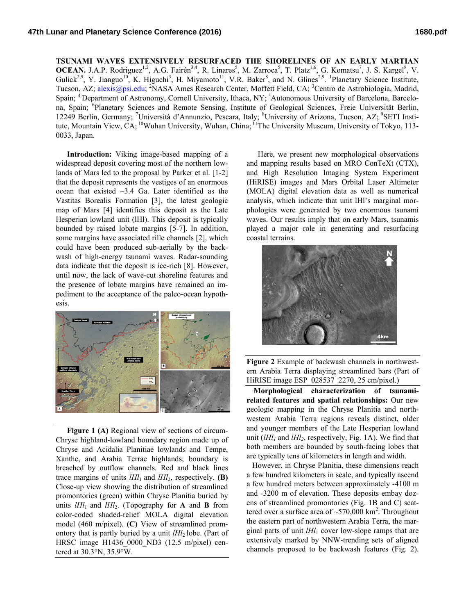**TSUNAMI WAVES EXTENSIVELY RESURFACED THE SHORELINES OF AN EARLY MARTIAN**  OCEAN. J.A.P. Rodriguez<sup>1,2</sup>, A.G. Fairén<sup>3,4</sup>, R. Linares<sup>5</sup>, M. Zarroca<sup>5</sup>, T. Platz<sup>1,6</sup>, G. Komatsu<sup>7</sup>, J. S. Kargel<sup>8</sup>, V. Gulick<sup>2,9</sup>, Y. Jianguo<sup>10</sup>, K. Higuchi<sup>3</sup>, H. Miyamoto<sup>11</sup>, V.R. Baker<sup>8</sup>, and N. Glines<sup>2,9</sup>. <sup>1</sup>Planetary Science Institute, Tucson, AZ; [alexis@psi.edu;](mailto:alexis@psi.edu) <sup>2</sup>NASA Ames Research Center, Moffett Field, CA; <sup>3</sup>Centro de Astrobiología, Madrid, Spain; <sup>4</sup> Department of Astronomy, Cornell University, Ithaca, NY; <sup>5</sup>Autonomous University of Barcelona, Barcelona, Spain; <sup>6</sup>Planetary Sciences and Remote Sensing, Institute of Geological Sciences, Freie Universität Berlin, 12249 Berlin, Germany; <sup>7</sup>Università d'Annunzio, Pescara, Italy; <sup>8</sup>University of Arizona, Tucson, AZ; <sup>9</sup>SETI Institute, Mountain View, CA; <sup>10</sup>Wuhan University, Wuhan, China; <sup>11</sup>The University Museum, University of Tokyo, 113-0033, Japan.

**Introduction:** Viking image-based mapping of a widespread deposit covering most of the northern lowlands of Mars led to the proposal by Parker et al. [1-2] that the deposit represents the vestiges of an enormous ocean that existed ~3.4 Ga. Later identified as the Vastitas Borealis Formation [3], the latest geologic map of Mars [4] identifies this deposit as the Late Hesperian lowland unit (lHl). This deposit is typically bounded by raised lobate margins [5-7]. In addition, some margins have associated rille channels [2], which could have been produced sub-aerially by the backwash of high-energy tsunami waves. Radar-sounding data indicate that the deposit is ice-rich [8]. However, until now, the lack of wave-cut shoreline features and the presence of lobate margins have remained an impediment to the acceptance of the paleo-ocean hypothesis.



**Figure 1 (A)** Regional view of sections of circum-Chryse highland-lowland boundary region made up of Chryse and Acidalia Planitiae lowlands and Tempe, Xanthe, and Arabia Terrae highlands; boundary is breached by outflow channels. Red and black lines trace margins of units  $IHI_1$  and  $IHI_2$ , respectively. **(B)** Close-up view showing the distribution of streamlined promontories (green) within Chryse Planitia buried by units  $lHl_1$  and  $lHl_2$ . (Topography for **A** and **B** from color-coded shaded-relief MOLA digital elevation model (460 m/pixel). **(C)** View of streamlined promontory that is partly buried by a unit  $lHl_2$  lobe. (Part of HRSC image H1436 0000 ND3 (12.5 m/pixel) centered at 30.3°N, 35.9°W.

Here, we present new morphological observations and mapping results based on MRO ConTeXt (CTX), and High Resolution Imaging System Experiment (HiRISE) images and Mars Orbital Laser Altimeter (MOLA) digital elevation data as well as numerical analysis, which indicate that unit lHl's marginal morphologies were generated by two enormous tsunami waves. Our results imply that on early Mars, tsunamis played a major role in generating and resurfacing coastal terrains.



**Figure 2** Example of backwash channels in northwestern Arabia Terra displaying streamlined bars (Part of HiRISE image ESP\_028537\_2270, 25 cm/pixel.)

**Morphological characterization of tsunamirelated features and spatial relationships:** Our new geologic mapping in the Chryse Planitia and northwestern Arabia Terra regions reveals distinct, older and younger members of the Late Hesperian lowland unit  $(lHl<sub>1</sub>$  and  $lHl<sub>2</sub>$ , respectively, Fig. 1A). We find that both members are bounded by south-facing lobes that are typically tens of kilometers in length and width.

However, in Chryse Planitia, these dimensions reach a few hundred kilometers in scale, and typically ascend a few hundred meters between approximately -4100 m and -3200 m of elevation. These deposits embay dozens of streamlined promontories (Fig. 1B and C) scattered over a surface area of  $\sim$ 570,000 km<sup>2</sup>. Throughout the eastern part of northwestern Arabia Terra, the marginal parts of unit *lHl*<sup>1</sup> cover low-slope ramps that are extensively marked by NNW-trending sets of aligned channels proposed to be backwash features (Fig. 2).